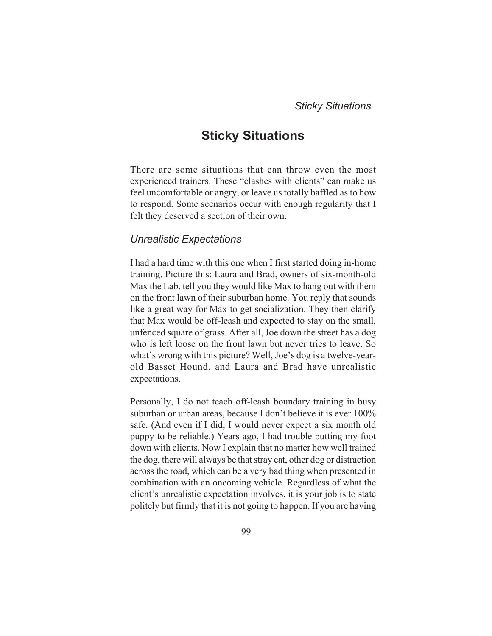# **Sticky Situations**

There are some situations that can throw even the most experienced trainers. These "clashes with clients" can make us feel uncomfortable or angry, or leave us totally baffled as to how to respond. Some scenarios occur with enough regularity that I felt they deserved a section of their own.

#### *Unrealistic Expectations*

I had a hard time with this one when I first started doing in-home training. Picture this: Laura and Brad, owners of six-month-old Max the Lab, tell you they would like Max to hang out with them on the front lawn of their suburban home. You reply that sounds like a great way for Max to get socialization. They then clarify that Max would be off-leash and expected to stay on the small, unfenced square of grass. After all, Joe down the street has a dog who is left loose on the front lawn but never tries to leave. So what's wrong with this picture? Well, Joe's dog is a twelve-yearold Basset Hound, and Laura and Brad have unrealistic expectations.

Personally, I do not teach off-leash boundary training in busy suburban or urban areas, because I don't believe it is ever 100% safe. (And even if I did, I would never expect a six month old puppy to be reliable.) Years ago, I had trouble putting my foot down with clients. Now I explain that no matter how well trained the dog, there will always be that stray cat, other dog or distraction across the road, which can be a very bad thing when presented in combination with an oncoming vehicle. Regardless of what the client's unrealistic expectation involves, it is your job is to state politely but firmly that it is not going to happen. If you are having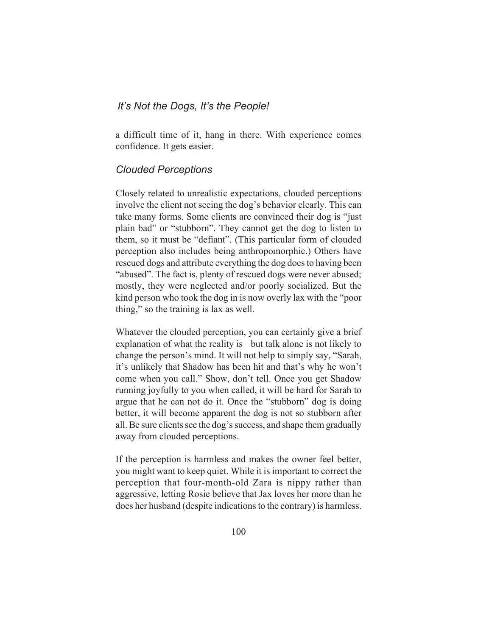# *It's Not the Dogs, It's the People!*

a difficult time of it, hang in there. With experience comes confidence. It gets easier.

# *Clouded Perceptions*

Closely related to unrealistic expectations, clouded perceptions involve the client not seeing the dog's behavior clearly. This can take many forms. Some clients are convinced their dog is "just plain bad" or "stubborn". They cannot get the dog to listen to them, so it must be "defiant". (This particular form of clouded perception also includes being anthropomorphic.) Others have rescued dogs and attribute everything the dog does to having been "abused". The fact is, plenty of rescued dogs were never abused; mostly, they were neglected and/or poorly socialized. But the kind person who took the dog in is now overly lax with the "poor thing," so the training is lax as well.

Whatever the clouded perception, you can certainly give a brief explanation of what the reality is—but talk alone is not likely to change the person's mind. It will not help to simply say, "Sarah, it's unlikely that Shadow has been hit and that's why he won't come when you call." Show, don't tell. Once you get Shadow running joyfully to you when called, it will be hard for Sarah to argue that he can not do it. Once the "stubborn" dog is doing better, it will become apparent the dog is not so stubborn after all. Be sure clients see the dog's success, and shape them gradually away from clouded perceptions.

If the perception is harmless and makes the owner feel better, you might want to keep quiet. While it is important to correct the perception that four-month-old Zara is nippy rather than aggressive, letting Rosie believe that Jax loves her more than he does her husband (despite indications to the contrary) is harmless.